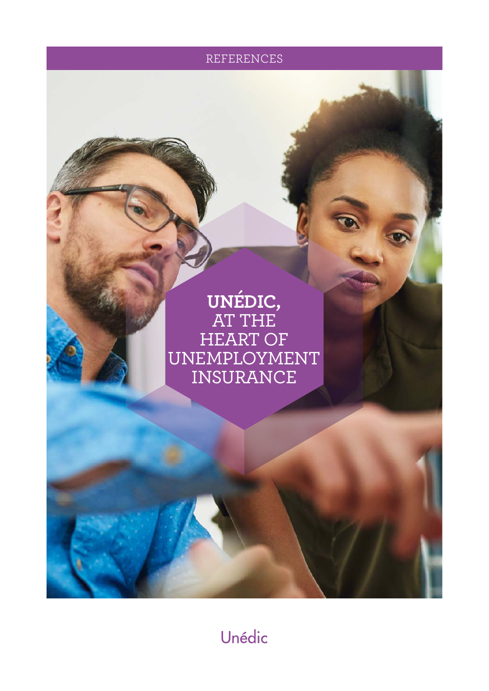REFERENCES

# **UNÉDIC,** AT THE HEART OF UNEMPLOYMENT INSURANCE

Unédic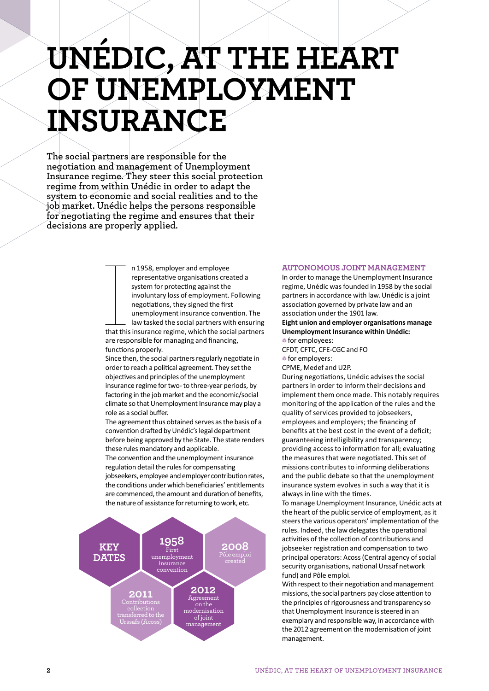# **UNÉDIC, AT THE HEART OF UNEMPLOYMENT INSURANCE**

**The social partners are responsible for the negotiation and management of Unemployment Insurance regime. They steer this social protection regime from within Unédic in order to adapt the system to economic and social realities and to the job market. Unédic helps the persons responsible for negotiating the regime and ensures that their decisions are properly applied.**

> n 1958, employer and employee representative organisations created a system for protecting against the involuntary loss of employment. Following negotiations, they signed the first unemployment insurance convention. The

Internal Enterprise Contract the Contract of the Contract of the Contract of the Contract of the Contract of the Contract of the Contract of the Contract of the Contract of the Contract of the Contract of the Contract of t law tasked the social partners with ensuring that this insurance regime, which the social partners are responsible for managing and financing, functions properly.

Since then, the social partners regularly negotiate in order to reach a political agreement. They set the objectives and principles of the unemployment insurance regime for two- to three-year periods, by factoring in the job market and the economic/social climate so that Unemployment Insurance may play a role as a social buffer.

The agreement thus obtained serves as the basis of a convention drafted by Unédic's legal department before being approved by the State. The state renders these rules mandatory and applicable.

The convention and the unemployment insurance regulation detail the rules for compensating jobseekers, employee and employer contribution rates, the conditions under which beneficiaries' entitlements are commenced, the amount and duration of benefits, the nature of assistance for returning to work, etc.



#### **AUTONOMOUS JOINT MANAGEMENT**

In order to manage the Unemployment Insurance regime, Unédic was founded in 1958 by the social partners in accordance with law. Unédic is a joint association governed by private law and an association under the 1901 law.

**Eight union and employer organisations manage Unemployment Insurance within Unédic:**  $\bullet$  for employees:

CFDT, CFTC, CFE-CGC and FO  $\bullet$  for employers:

CPME, Medef and U2P.

During negotiations, Unédic advises the social partners in order to inform their decisions and implement them once made. This notably requires monitoring of the application of the rules and the quality of services provided to jobseekers, employees and employers; the financing of benefits at the best cost in the event of a deficit; guaranteeing intelligibility and transparency; providing access to information for all; evaluating the measures that were negotiated. This set of missions contributes to informing deliberations and the public debate so that the unemployment insurance system evolves in such a way that it is always in line with the times.

To manage Unemployment Insurance, Unédic acts at the heart of the public service of employment, as it steers the various operators' implementation of the rules. Indeed, the law delegates the operational activities of the collection of contributions and jobseeker registration and compensation to two principal operators: Acoss (Central agency of social security organisations, national Urssaf network fund) and Pôle emploi.

With respect to their negotiation and management missions, the social partners pay close attention to the principles of rigorousness and transparency so that Unemployment Insurance is steered in an exemplary and responsible way, in accordance with the 2012 agreement on the modernisation of joint management.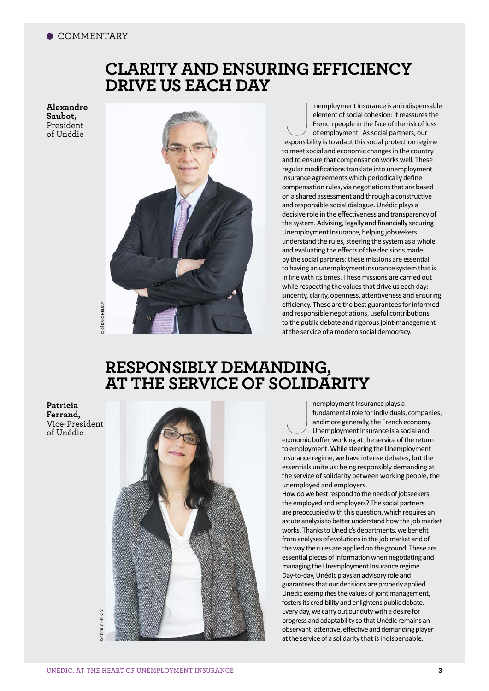# **CLARITY AND ENSURING EFFICIENCY DRIVE US EACH DAY**

**Alexandre Saubot,** President of Unédic



Themployment Insurance is an indispensable<br>
element of social cohesion: it reassures the<br>
French people in the face of the risk of loss<br>
of employment. As social partners, our<br>
responsibility is to adapt this social protec element of social cohesion: it reassures the French people in the face of the risk of loss of employment. As social partners, our to meet social and economic changes in the country and to ensure that compensation works well. These regular modifications translate into unemployment insurance agreements which periodically define compensation rules, via negotiations that are based on a shared assessment and through a constructive and responsible social dialogue. Unédic plays a decisive role in the effectiveness and transparency of the system. Advising, legally and financially securing Unemployment Insurance, helping jobseekers understand the rules, steering the system as a whole and evaluating the effects of the decisions made by the social partners: these missions are essential to having an unemployment insurance system that is in line with its times. These missions are carried out while respecting the values that drive us each day: sincerity, clarity, openness, attentiveness and ensuring efficiency. These are the best guarantees for informed and responsible negotiations, useful contributions to the public debate and rigorous joint-management at the service of a modern social democracy.

# **RESPONSIBLY DEMANDING, AT THE SERVICE OF SOLIDARITY**

**Patricia Ferrand,** Vice-President of Unédic



Themployment Insurance plays a<br>
fundamental role for individuals, companie<br>
and more generally, the French economy.<br>
Unemployment Insurance is a social and<br>
economic buffer, working at the service of the return fundamental role for individuals, companies, and more generally, the French economy. Unemployment Insurance is a social and to employment. While steering the Unemployment Insurance regime, we have intense debates, but the essentials unite us: being responsibly demanding at the service of solidarity between working people, the unemployed and employers. How do we best respond to the needs of jobseekers,

the employed and employers? The social partners are preoccupied with this question, which requires an astute analysis to better understand how the job market works. Thanks to Unédic's departments, we benefit from analyses of evolutions in the job market and of the way the rules are applied on the ground. These are essential pieces of information when negotiating and managing the Unemployment Insurance regime. Day-to-day, Unédic plays an advisory role and guarantees that our decisions are properly applied. Unédic exemplifies the values of joint management, fosters its credibility and enlightens public debate. Every day, we carry out our duty with a desire for progress and adaptability so that Unédic remains an observant, attentive, effective and demanding player at the service of a solidarity that is indispensable.

 cédric helslyCÉDRIC HELSLY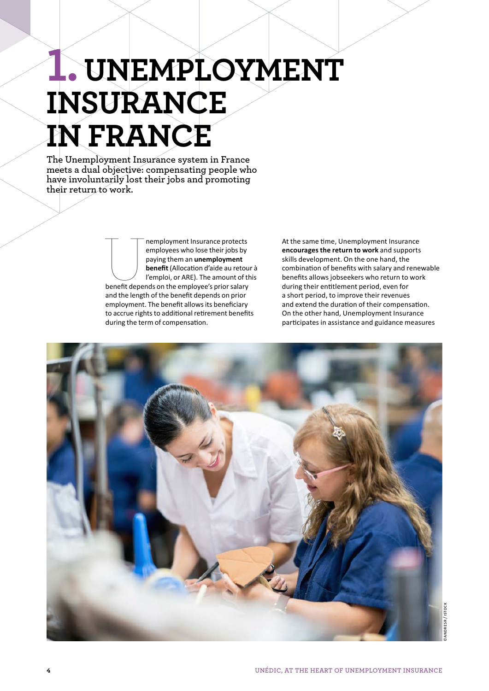# **1.UNEMPLOYMENT INSURANCE IN FRANCE**

**The Unemployment Insurance system in France meets a dual objective: compensating people who have involuntarily lost their jobs and promoting their return to work.** 

> Themployment Insurance protects<br>
> employees who lose their jobs by<br>
> paying them an **unemployment**<br> **benefit (Allocation d'aide au retou<br>
> l'emploi, or ARE). The amount of th<br>
> benefit depends on the employee's prior salary** employees who lose their jobs by paying them an **unemployment benefit** (Allocation d'aide au retour à l'emploi, or ARE). The amount of this and the length of the benefit depends on prior employment. The benefit allows its beneficiary to accrue rights to additional retirement benefits during the term of compensation.

At the same time, Unemployment Insurance **encourages the return to work** and supports skills development. On the one hand, the combination of benefits with salary and renewable benefits allows jobseekers who return to work during their entitlement period, even for a short period, to improve their revenues and extend the duration of their compensation. On the other hand, Unemployment Insurance participates in assistance and guidance measures

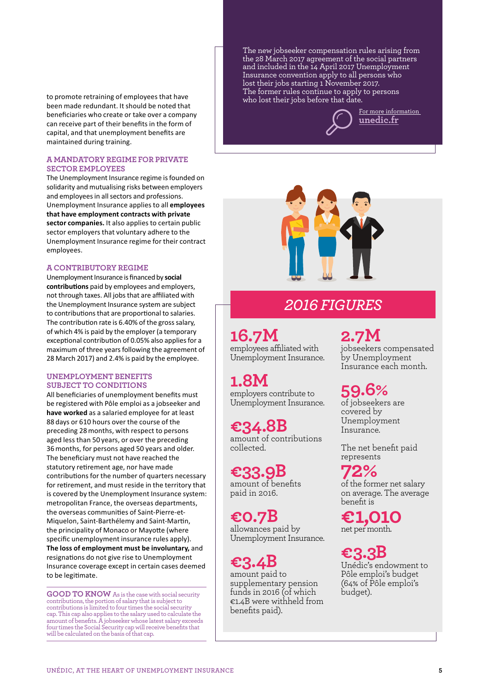who lost their jobs before that date. to promote retraining of employees that have been made redundant. It should be noted that beneficiaries who create or take over a company can receive part of their benefits in the form of capital, and that unemployment benefits are maintained during training.

### **A MANDATORY REGIME FOR PRIVATE SECTOR EMPLOYEES**

The Unemployment Insurance regime is founded on solidarity and mutualising risks between employers and employees in all sectors and professions. Unemployment Insurance applies to all **employees that have employment contracts with private sector companies.** It also applies to certain public sector employers that voluntary adhere to the Unemployment Insurance regime for their contract employees.

### **A CONTRIBUTORY REGIME**

Unemployment Insurance is financed by **social contributions** paid by employees and employers, not through taxes. All jobs that are affiliated with the Unemployment Insurance system are subject to contributions that are proportional to salaries. The contribution rate is 6.40% of the gross salary, of which 4% is paid by the employer (a temporary exceptional contribution of 0.05% also applies for a maximum of three years following the agreement of 28 March 2017) and 2.4% is paid by the employee.

### **UNEMPLOYMENT BENEFITS SUBJECT TO CONDITIONS**

All beneficiaries of unemployment benefits must be registered with Pôle emploi as a jobseeker and **have worked** as a salaried employee for at least 88 days or 610 hours over the course of the preceding 28months, with respect to persons aged less than 50 years, or over the preceding 36months, for persons aged 50 years and older. The beneficiary must not have reached the statutory retirement age, nor have made contributions for the number of quarters necessary for retirement, and must reside in the territory that is covered by the Unemployment Insurance system: metropolitan France, the overseas departments, the overseas communities of Saint-Pierre-et-Miquelon, Saint-Barthélemy and Saint-Martin, the principality of Monaco or Mayotte (where specific unemployment insurance rules apply). **The loss of employment must be involuntary,** and resignations do not give rise to Unemployment Insurance coverage except in certain cases deemed to be legitimate.

**GOOD TO KNOW** As is the case with social security contributions, the portion of salary that is subject to contributions is limited to four times the social security cap. This cap also applies to the salary used to calculate the amount of benefits. A jobseeker whose latest salary exceeds four times the Social Security cap will receive benefits that will be calculated on the basis of that cap.

The new jobseeker compensation rules arising from the 28 March 2017 agreement of the social partners and included in the 14 April 2017 Unemployment Insurance convention apply to all persons who lost their jobs starting 1 November 2017. The former rules continue to apply to persons

> For more information **unedic.fr**



# *2016 FIGURES*

# **16.7M**

employees affiliated with Unemployment Insurance.

# **1.8M**

employers contribute to Unemployment Insurance.

**€34.8B** amount of contributions collected.

**€33.9B** amount of benefits paid in 2016.

**€0.7B** allowances paid by Unemployment Insurance.

**€3.4B** amount paid to supplementary pension funds in 2016 (of which €1.4B were withheld from benefits paid).

# **2.7M**

jobseekers compensated by Unemployment Insurance each month.

# **59.6%**

of jobseekers are covered by Unemployment Insurance.

The net benefit paid represents

**72%**  of the former net salary on average. The average benefit is

**€1,010**  net per month.

**€3.3B** Unédic's endowment to Pôle emploi's budget (64% of Pôle emploi's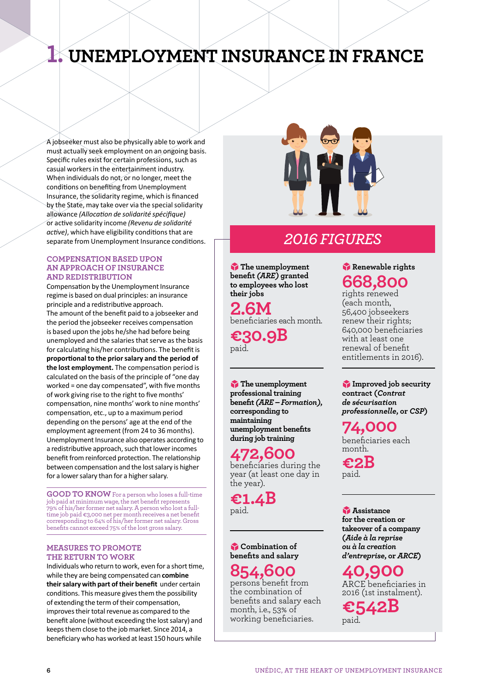# **1. UNEMPLOYMENT INSURANCE IN FRANCE**

A jobseeker must also be physically able to work and must actually seek employment on an ongoing basis. Specific rules exist for certain professions, such as casual workers in the entertainment industry. When individuals do not, or no longer, meet the conditions on benefiting from Unemployment Insurance, the solidarity regime, which is financed by the State, may take over via the special solidarity allowance *(Allocation de solidarité spécifique)* or active solidarity income *(Revenu de solidarité active)*, which have eligibility conditions that are separate from Unemployment Insurance conditions.

### **COMPENSATION BASED UPON AN APPROACH OF INSURANCE AND REDISTRIBUTION**

Compensation by the Unemployment Insurance regime is based on dual principles: an insurance principle and a redistributive approach. The amount of the benefit paid to a jobseeker and the period the jobseeker receives compensation is based upon the jobs he/she had before being unemployed and the salaries that serve as the basis for calculating his/her contributions. The benefit is **proportional to the prior salary and the period of the lost employment.** The compensation period is calculated on the basis of the principle of "one day worked = one day compensated", with five months of work giving rise to the right to five months' compensation, nine months' work to nine months' compensation, etc., up to a maximum period depending on the persons' age at the end of the employment agreement (from 24 to 36 months). Unemployment Insurance also operates according to a redistributive approach, such that lower incomes benefit from reinforced protection. The relationship between compensation and the lost salary is higher for a lower salary than for a higher salary.

**GOOD TO KNOW** For a person who loses a full-time job paid at minimum wage, the net benefit represents 79% of his/her former net salary. A person who lost a fulltime job paid €3,000 net per month receives a net benefit corresponding to 64% of his/her former net salary. Gross benefits cannot exceed 75% of the lost gross salary.

## **MEASURES TO PROMOTE THE RETURN TO WORK**

Individuals who return to work, even for a short time, while they are being compensated can **combine their salary with part of their benefit** under certain conditions. This measure gives them the possibility of extending the term of their compensation, improves their total revenue as compared to the benefit alone (without exceeding the lost salary) and keeps them close to the job market. Since 2014, a beneficiary who has worked at least 150 hours while



## *2016 FIGURES*

4**The unemployment benefit** *(ARE)* **granted to employees who lost their jobs**

**2.6M** beneficiaries each month.

**€30.9B** paid.

4**The unemployment professional training benefit** *(ARE – Formation)***, corresponding to maintaining unemployment benefits during job training**

## **472,600** beneficiaries during the

year (at least one day in the year).

**€1.4B** paid.

4**Combination of benefits and salary**

## **854,600**

persons benefit from the combination of benefits and salary each month, i.e., 53% of working beneficiaries.

## 4**Renewable rights 668,800**

rights renewed (each month, 56,400 jobseekers renew their rights; 640,000 beneficiaries with at least one renewal of benefit entitlements in 2016).

4**Improved job security contract (***Contrat de sécurisation professionnelle***, or** *CSP***)**

**74,000**

beneficiaries each month.

**€2B** paid.

4**Assistance for the creation or takeover of a company (***Aide à la reprise ou à la creation d'entreprise***, or** *ARCE***)**

**40,900** ARCE beneficiaries in 2016 (1st instalment).

**€542B** paid.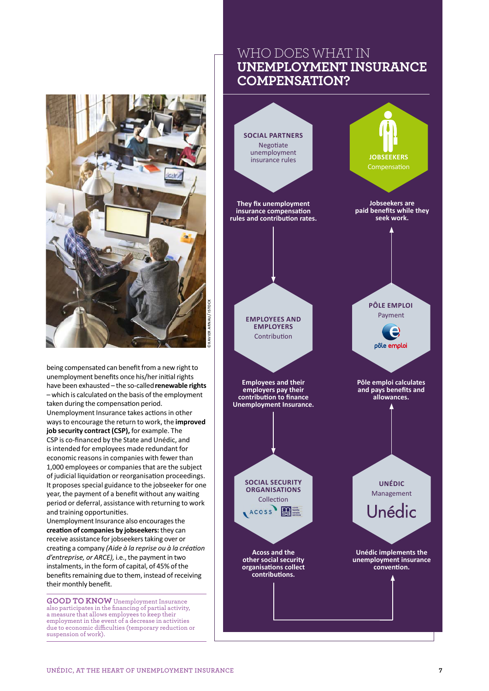

being compensated can benefit from a new right to unemployment benefits once his/her initial rights have been exhausted – the so-called**renewable rights**  – which is calculated on the basis of the employment taken during the compensation period. Unemployment Insurance takes actions in other ways to encourage the return to work, the **improved job security contract (CSP),** for example. The

CSP is co-financed by the State and Unédic, and is intended for employees made redundant for economic reasons in companies with fewer than 1,000 employees or companies that are the subject of judicial liquidation or reorganisation proceedings. It proposes special guidance to the jobseeker for one year, the payment of a benefit without any waiting period or deferral, assistance with returning to work and training opportunities.

Unemployment Insurance also encourages the **creation of companies by jobseekers:** they can receive assistance for jobseekers taking over or creating a company *(Aide à la reprise ou à la création d'entreprise, or ARCE),* i.e., the payment in two instalments, in the form of capital, of 45% of the benefits remaining due to them, instead of receiving their monthly benefit.

**GOOD TO KNOW** Unemployment Insurance also participates in the financing of partial activity, a measure that allows employees to keep their employment in the event of a decrease in activities due to economic difficulties (temporary reduction or suspension of work).

## WHO DOES WHAT IN **UNEMPLOYMENT INSURANCE COMPENSATION?**

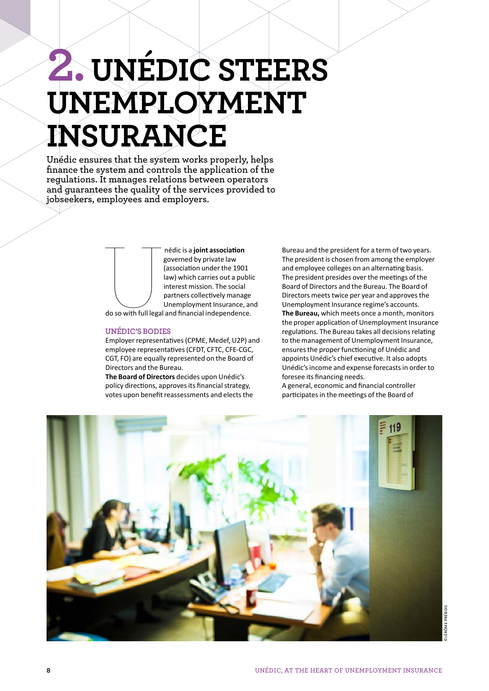# **2.UNÉDIC STEERS UNEMPLOYMENT INSURANCE**

**Unédic ensures that the system works properly, helps finance the system and controls the application of the regulations. It manages relations between operators and guarantees the quality of the services provided to jobseekers, employees and employers.**

> nédic is a **joint association**<br>governed by private law<br>(association under the 190:<br>law) which carries out a pul<br>interest mission. The social<br>partners collectively manage<br>Unemployment Insurance,<br>do so with full legal and fi governed by private law (association under the 1901 law) which carries out a public interest mission. The social partners collectively manage

Unemployment Insurance, and

do so with full legal and financial independence.

## **UNÉDIC'S BODIES**

Employer representatives (CPME, Medef, U2P) and employee representatives (CFDT, CFTC, CFE-CGC, CGT, FO) are equally represented on the Board of Directors and the Bureau.

**The Board of Directors** decides upon Unédic's policy directions, approves its financial strategy, votes upon benefit reassessments and elects the Bureau and the president for a term of two years. The president is chosen from among the employer and employee colleges on an alternating basis. The president presides over the meetings of the Board of Directors and the Bureau. The Board of Directors meets twice per year and approves the Unemployment Insurance regime's accounts. **The Bureau,** which meets once a month, monitors the proper application of Unemployment Insurance regulations. The Bureau takes all decisions relating to the management of Unemployment Insurance, ensures the proper functioning of Unédic and appoints Unédic's chief executive. It also adopts Unédic's income and expense forecasts in order to foresee its financing needs.

A general, economic and financial controller participates in the meetings of the Board of

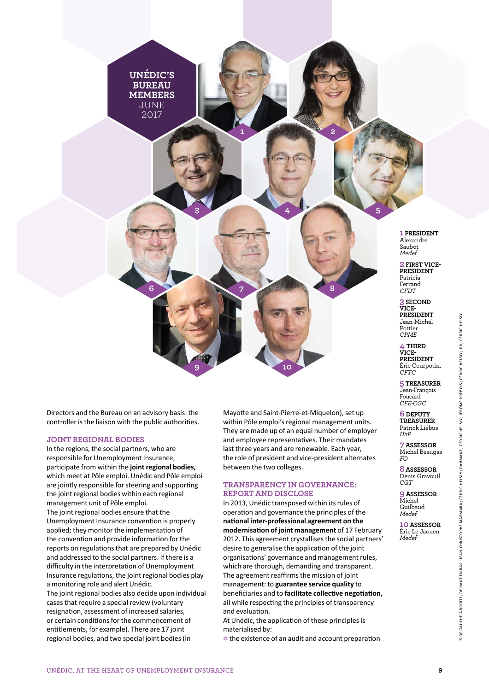**UNÉDIC'S BUREAU MEMBERS**  JUNE 2017

**6**

**3**

**7**

**9**

**1 PRESIDENT** Alexandre Saubot *Medef*

**5**

**2 FIRST VICE-PRESIDENT** Patricia Ferrand *CFDT*

**3 SECOND VICE-PRESIDENT**  Jean-Michel Pottier *CPME*

**4 THIRD VICE-PRESIDENT** Éric Courpotin, *CFTC*

**5 TREASURER** Jean-François Foucard *CFE-CGC*

**6 DEPUTY TREASURER** Patrick Liébus *U2P*

**7ASSESSOR** Michel Beaugas *FO*

**8ASSESSOR** Denis Gravouil *CGT*

**9ASSESSOR** Michel Guilbaud *Medef*

**10ASSESSOR** Éric Le Jaouen *Medef*

Directors and the Bureau on an advisory basis: the controller is the liaison with the public authorities.

### **JOINT REGIONAL BODIES**

In the regions, the social partners, who are responsible for Unemployment Insurance, participate from within the **joint regional bodies,**  which meet at Pôle emploi. Unédic and Pôle emploi are jointly responsible for steering and supporting the joint regional bodies within each regional management unit of Pôle emploi. The joint regional bodies ensure that the Unemployment Insurance convention is properly applied; they monitor the implementation of the convention and provide information for the reports on regulations that are prepared by Unédic and addressed to the social partners. If there is a difficulty in the interpretation of Unemployment Insurance regulations, the joint regional bodies play a monitoring role and alert Unédic. The joint regional bodies also decide upon individual cases that require a special review (voluntary

resignation, assessment of increased salaries, or certain conditions for the commencement of entitlements, for example). There are 17 joint regional bodies, and two special joint bodies (in

Mayotte and Saint-Pierre-et-Miquelon), set up within Pôle emploi's regional management units. They are made up of an equal number of employer and employee representatives. Their mandates last three years and are renewable. Each year, the role of president and vice-president alternates between the two colleges.

## **TRANSPARENCY IN GOVERNANCE: REPORT AND DISCLOSE**

**10**

**1 2**

**4**

**8**

In 2013, Unédic transposed within its rules of operation and governance the principles of the **national inter-professional agreement on the modernisation of joint management** of 17 February 2012. This agreement crystallises the social partners' desire to generalise the application of the joint organisations' governance and management rules, which are thorough, demanding and transparent. The agreement reaffirms the mission of joint management: to **guarantee service quality** to beneficiaries and to **facilitate collective negotiation,**  all while respecting the principles of transparency and evaluation.

At Unédic, the application of these principles is materialised by:

the existence of an audit and account preparation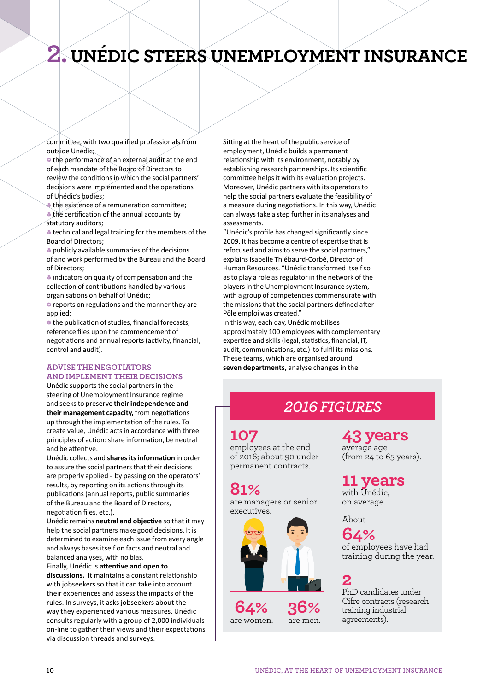# **2. UNÉDIC STEERS UNEMPLOYMENT INSURANCE**

committee, with two qualified professionals from outside Unédic;

the performance of an external audit at the end of each mandate of the Board of Directors to review the conditions in which the social partners' decisions were implemented and the operations of Unédic's bodies;

the existence of a remuneration committee: the certification of the annual accounts by statutory auditors;

technical and legal training for the members of the Board of Directors;

4 publicly available summaries of the decisions of and work performed by the Bureau and the Board of Directors;

 $\bullet$  indicators on quality of compensation and the collection of contributions handled by various organisations on behalf of Unédic;

**Example 2 reports on regulations and the manner they are** applied;

the publication of studies, financial forecasts, reference files upon the commencement of negotiations and annual reports (activity, financial, control and audit).

## **ADVISE THE NEGOTIATORS AND IMPLEMENT THEIR DECISIONS**

Unédic supports the social partners in the steering of Unemployment Insurance regime and seeks to preserve **their independence and their management capacity,** from negotiations up through the implementation of the rules. To create value, Unédic acts in accordance with three principles of action: share information, be neutral and be attentive.

Unédic collects and **shares its information** in order to assure the social partners that their decisions are properly applied - by passing on the operators' results, by reporting on its actions through its publications (annual reports, public summaries of the Bureau and the Board of Directors, negotiation files, etc.).

Unédic remains **neutral and objective** so that it may help the social partners make good decisions. It is determined to examine each issue from every angle and always bases itself on facts and neutral and balanced analyses, with no bias.

Finally, Unédic is **attentive and open to** 

**discussions.** It maintains a constant relationship with jobseekers so that it can take into account their experiences and assess the impacts of the rules. In surveys, it asks jobseekers about the way they experienced various measures. Unédic consults regularly with a group of 2,000 individuals on-line to gather their views and their expectations via discussion threads and surveys.

Sitting at the heart of the public service of employment, Unédic builds a permanent relationship with its environment, notably by establishing research partnerships. Its scientific committee helps it with its evaluation projects. Moreover, Unédic partners with its operators to help the social partners evaluate the feasibility of a measure during negotiations. In this way, Unédic can always take a step further in its analyses and assessments.

"Unédic's profile has changed significantly since 2009. It has become a centre of expertise that is refocused and aims to serve the social partners," explains Isabelle Thiébaurd-Corbé, Director of Human Resources. "Unédic transformed itself so as to play a role as regulator in the network of the players in the Unemployment Insurance system, with a group of competencies commensurate with the missions that the social partners defined after Pôle emploi was created."

In this way, each day, Unédic mobilises approximately 100 employees with complementary expertise and skills (legal, statistics, financial, IT, audit, communications, etc.) to fulfil its missions. These teams, which are organised around **seven departments,** analyse changes in the

# *2016 FIGURES*

## **107**

employees at the end of 2016; about 90 under permanent contracts.

## **81%**

are managers or senior executives.



**64%**  are women. are men. **43 years**

average age (from 24 to 65 years).

# **11 years**

with Unédic, on average.

## About

**64%** of employees have had training during the year.

**2** PhD candidates under Cifre contracts (research training industrial agreements).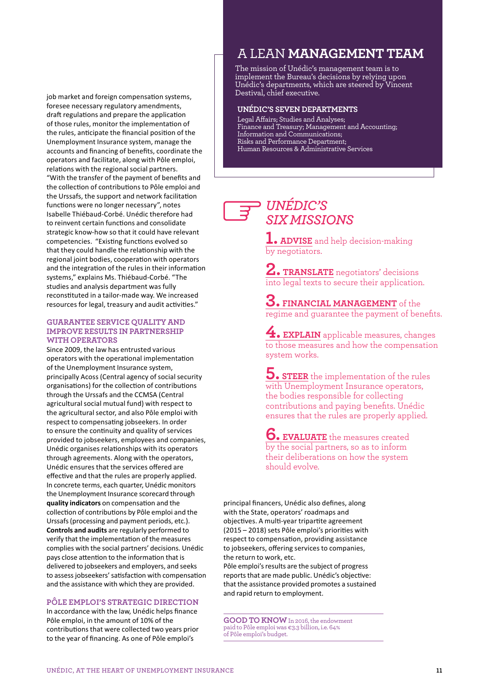job market and foreign compensation systems, foresee necessary regulatory amendments, draft regulations and prepare the application of those rules, monitor the implementation of the rules, anticipate the financial position of the Unemployment Insurance system, manage the accounts and financing of benefits, coordinate the operators and facilitate, along with Pôle emploi, relations with the regional social partners. "With the transfer of the payment of benefits and the collection of contributions to Pôle emploi and the Urssafs, the support and network facilitation functions were no longer necessary", notes Isabelle Thiébaud-Corbé. Unédic therefore had to reinvent certain functions and consolidate strategic know-how so that it could have relevant competencies. "Existing functions evolved so that they could handle the relationship with the regional joint bodies, cooperation with operators and the integration of the rules in their information systems," explains Ms. Thiébaud-Corbé. "The studies and analysis department was fully reconstituted in a tailor-made way. We increased resources for legal, treasury and audit activities."

### **GUARANTEE SERVICE QUALITY AND IMPROVE RESULTS IN PARTNERSHIP WITH OPERATORS**

Since 2009, the law has entrusted various operators with the operational implementation of the Unemployment Insurance system, principally Acoss (Central agency of social security organisations) for the collection of contributions through the Urssafs and the CCMSA (Central agricultural social mutual fund) with respect to the agricultural sector, and also Pôle emploi with respect to compensating jobseekers. In order to ensure the continuity and quality of services provided to jobseekers, employees and companies, Unédic organises relationships with its operators through agreements. Along with the operators, Unédic ensures that the services offered are effective and that the rules are properly applied. In concrete terms, each quarter, Unédic monitors the Unemployment Insurance scorecard through **quality indicators** on compensation and the collection of contributions by Pôle emploi and the Urssafs (processing and payment periods, etc.). **Controls and audits** are regularly performed to verify that the implementation of the measures complies with the social partners' decisions. Unédic pays close attention to the information that is delivered to jobseekers and employers, and seeks to assess jobseekers' satisfaction with compensation and the assistance with which they are provided.

### **PÔLE EMPLOI'S STRATEGIC DIRECTION**

In accordance with the law, Unédic helps finance Pôle emploi, in the amount of 10% of the contributions that were collected two years prior to the year of financing. As one of Pôle emploi's

## A LEAN **MANAGEMENT TEAM**

The mission of Unédic's management team is to implement the Bureau's decisions by relying upon Unédic's departments, which are steered by Vincent Destival, chief executive.

### **UNÉDIC'S SEVEN DEPARTMENTS**

Legal Affairs; Studies and Analyses; Finance and Treasury; Management and Accounting; Information and Communications; Risks and Performance Department; Human Resources & Administrative Services

## *UNÉDIC'S SIX MISSIONS*

**1. ADVISE** and help decision-making by negotiators.

**2. TRANSLATE** negotiators' decisions into legal texts to secure their application.

**3. FINANCIAL MANAGEMENT** of the regime and guarantee the payment of benefits.

**4. EXPLAIN** applicable measures, changes to those measures and how the compensation system works.

**5. STEER** the implementation of the rules with Unemployment Insurance operators, the bodies responsible for collecting contributions and paying benefits. Unédic ensures that the rules are properly applied.

**6. EVALUATE** the measures created by the social partners, so as to inform their deliberations on how the system should evolve.

principal financers, Unédic also defines, along with the State, operators' roadmaps and objectives. A multi-year tripartite agreement (2015 – 2018) sets Pôle emploi's priorities with respect to compensation, providing assistance to jobseekers, offering services to companies, the return to work, etc. Pôle emploi's results are the subject of progress reports that are made public. Unédic's objective:

that the assistance provided promotes a sustained and rapid return to employment.

**GOOD TO KNOW** In 2016, the endowment paid to Pôle emploi was €3.3 billion, i.e. 64% of Pôle emploi's budget.